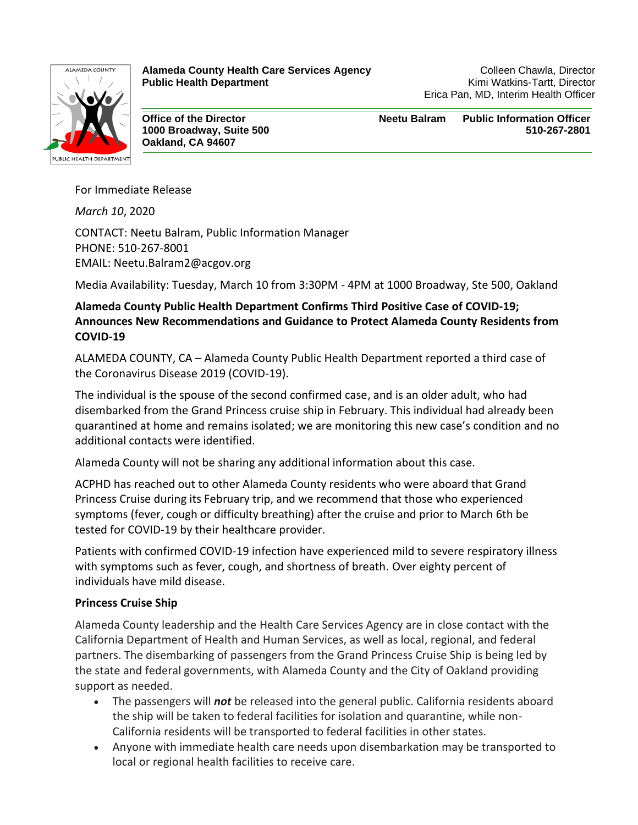

**Alameda County Health Care Services Agency Manufacture Colleen Chawla, Director Public Health Department Public Health Department Public Health Department** 

Erica Pan, MD, Interim Health Officer

**Oakland, CA 94607**

**Office of the Director Neetu Balram Public Information Officer 1000 Broadway, Suite 500 510-267-2801**

For Immediate Release

*March 10*, 2020 CONTACT: Neetu Balram, Public Information Manager PHONE: 510-267-8001 EMAIL: Neetu.Balram2@acgov.org

Media Availability: Tuesday, March 10 from 3:30PM - 4PM at 1000 Broadway, Ste 500, Oakland

# **Alameda County Public Health Department Confirms Third Positive Case of COVID-19; Announces New Recommendations and Guidance to Protect Alameda County Residents from COVID-19**

ALAMEDA COUNTY, CA – Alameda County Public Health Department reported a third case of the Coronavirus Disease 2019 (COVID-19).

The individual is the spouse of the second confirmed case, and is an older adult, who had disembarked from the Grand Princess cruise ship in February. This individual had already been quarantined at home and remains isolated; we are monitoring this new case's condition and no additional contacts were identified.

Alameda County will not be sharing any additional information about this case.

ACPHD has reached out to other Alameda County residents who were aboard that Grand Princess Cruise during its February trip, and we recommend that those who experienced symptoms (fever, cough or difficulty breathing) after the cruise and prior to March 6th be tested for COVID-19 by their healthcare provider.

Patients with confirmed COVID-19 infection have experienced mild to severe respiratory illness with symptoms such as fever, cough, and shortness of breath. Over eighty percent of individuals have mild disease.

### **Princess Cruise Ship**

Alameda County leadership and the Health Care Services Agency are in close contact with the California Department of Health and Human Services, as well as local, regional, and federal partners. The disembarking of passengers from the Grand Princess Cruise Ship is being led by the state and federal governments, with Alameda County and the City of Oakland providing support as needed.

- The passengers will *not* be released into the general public. California residents aboard the ship will be taken to federal facilities for isolation and quarantine, while non-California residents will be transported to federal facilities in other states.
- Anyone with immediate health care needs upon disembarkation may be transported to local or regional health facilities to receive care.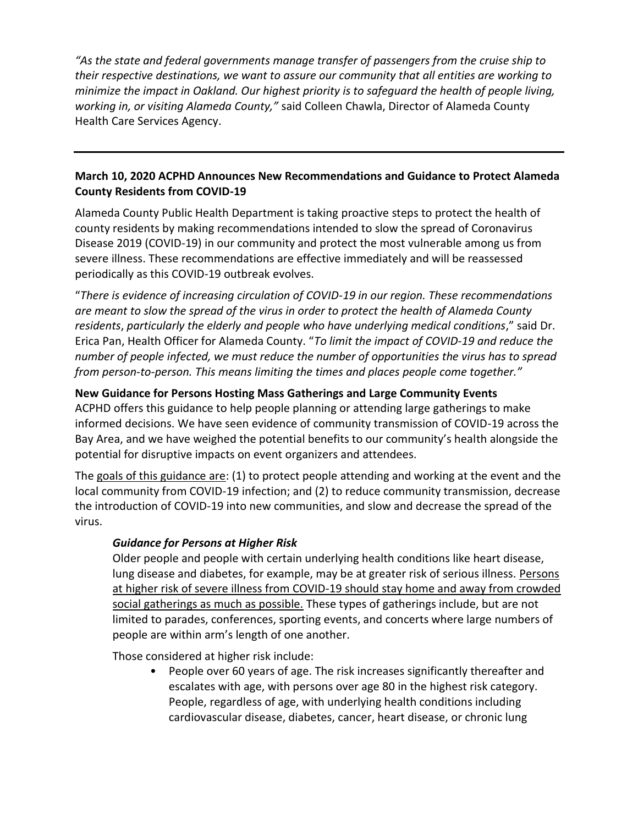*"As the state and federal governments manage transfer of passengers from the cruise ship to their respective destinations, we want to assure our community that all entities are working to minimize the impact in Oakland. Our highest priority is to safeguard the health of people living, working in, or visiting Alameda County,"* said Colleen Chawla, Director of Alameda County Health Care Services Agency.

# **March 10, 2020 ACPHD Announces New Recommendations and Guidance to Protect Alameda County Residents from COVID-19**

Alameda County Public Health Department is taking proactive steps to protect the health of county residents by making recommendations intended to slow the spread of Coronavirus Disease 2019 (COVID-19) in our community and protect the most vulnerable among us from severe illness. These recommendations are effective immediately and will be reassessed periodically as this COVID-19 outbreak evolves.

"*There is evidence of increasing circulation of COVID-19 in our region. These recommendations are meant to slow the spread of the virus in order to protect the health of Alameda County residents*, *particularly the elderly and people who have underlying medical conditions*," said Dr. Erica Pan, Health Officer for Alameda County. "*To limit the impact of COVID-19 and reduce the number of people infected, we must reduce the number of opportunities the virus has to spread from person-to-person. This means limiting the times and places people come together."*

## **New Guidance for Persons Hosting Mass Gatherings and Large Community Events**

ACPHD offers this guidance to help people planning or attending large gatherings to make informed decisions. We have seen evidence of community transmission of COVID-19 across the Bay Area, and we have weighed the potential benefits to our community's health alongside the potential for disruptive impacts on event organizers and attendees.

The goals of this guidance are: (1) to protect people attending and working at the event and the local community from COVID-19 infection; and (2) to reduce community transmission, decrease the introduction of COVID-19 into new communities, and slow and decrease the spread of the virus.

### *Guidance for Persons at Higher Risk*

Older people and people with certain underlying health conditions like heart disease, lung disease and diabetes, for example, may be at greater risk of serious illness. Persons at higher risk of severe illness from COVID-19 should stay home and away from crowded social gatherings as much as possible. These types of gatherings include, but are not limited to parades, conferences, sporting events, and concerts where large numbers of people are within arm's length of one another.

Those considered at higher risk include:

• People over 60 years of age. The risk increases significantly thereafter and escalates with age, with persons over age 80 in the highest risk category. People, regardless of age, with underlying health conditions including cardiovascular disease, diabetes, cancer, heart disease, or chronic lung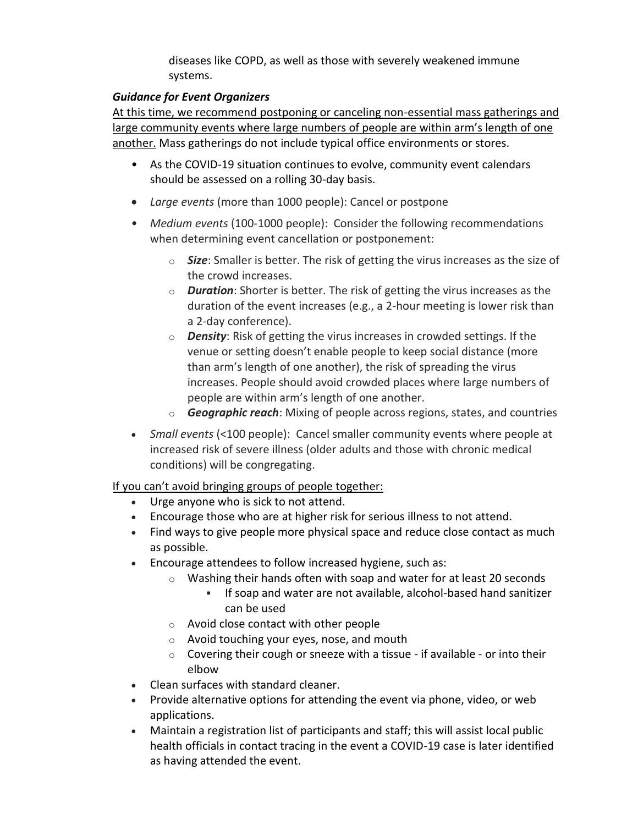diseases like COPD, as well as those with severely weakened immune systems.

## *Guidance for Event Organizers*

At this time, we recommend postponing or canceling non-essential mass gatherings and large community events where large numbers of people are within arm's length of one another. Mass gatherings do not include typical office environments or stores.

- As the COVID-19 situation continues to evolve, community event calendars should be assessed on a rolling 30-day basis.
- *Large events* (more than 1000 people): Cancel or postpone
- *Medium events* (100-1000 people): Consider the following recommendations when determining event cancellation or postponement:
	- o *Size*: Smaller is better. The risk of getting the virus increases as the size of the crowd increases.
	- o *Duration*: Shorter is better. The risk of getting the virus increases as the duration of the event increases (e.g., a 2-hour meeting is lower risk than a 2-day conference).
	- o *Density*: Risk of getting the virus increases in crowded settings. If the venue or setting doesn't enable people to keep social distance (more than arm's length of one another), the risk of spreading the virus increases. People should avoid crowded places where large numbers of people are within arm's length of one another.
	- o *Geographic reach*: Mixing of people across regions, states, and countries
- *Small events* (<100 people): Cancel smaller community events where people at increased risk of severe illness (older adults and those with chronic medical conditions) will be congregating.

If you can't avoid bringing groups of people together:

- Urge anyone who is sick to not attend.
- Encourage those who are at higher risk for serious illness to not attend.
- Find ways to give people more physical space and reduce close contact as much as possible.
- Encourage attendees to follow increased hygiene, such as:
	- o Washing their hands often with soap and water for at least 20 seconds
		- **EXTED 5000 FM 300 FM 2016** If soap and water are not available, alcohol-based hand sanitizer can be used
	- o Avoid close contact with other people
	- o Avoid touching your eyes, nose, and mouth
	- $\circ$  Covering their cough or sneeze with a tissue if available or into their elbow
- Clean surfaces with standard cleaner.
- Provide alternative options for attending the event via phone, video, or web applications.
- Maintain a registration list of participants and staff; this will assist local public health officials in contact tracing in the event a COVID-19 case is later identified as having attended the event.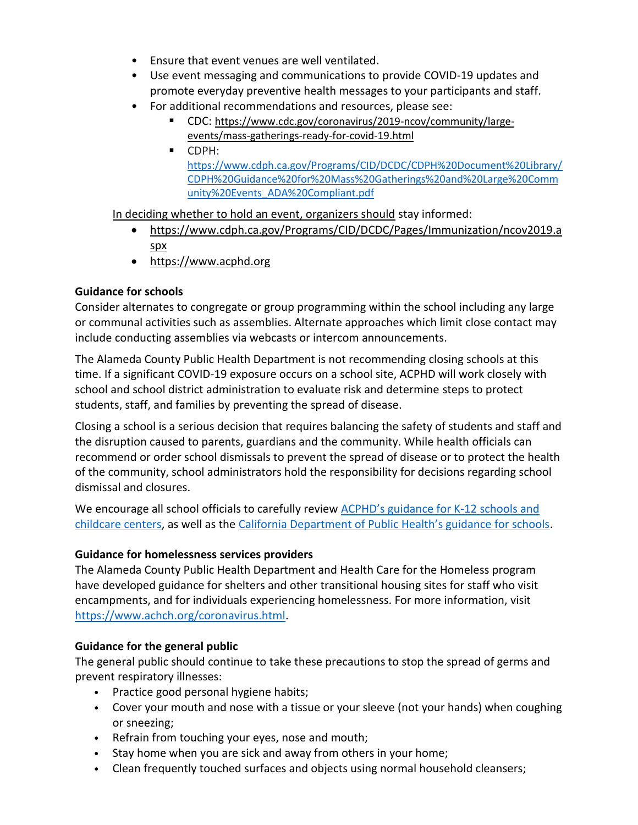- Ensure that event venues are well ventilated.
- Use event messaging and communications to provide COVID-19 updates and promote everyday preventive health messages to your participants and staff.
- For additional recommendations and resources, please see:
	- CDC: [https://www.cdc.gov/coronavirus/2019-ncov/community/large](https://www.cdc.gov/coronavirus/2019-ncov/community/large-events/mass-gatherings-ready-for-covid-19.html)[events/mass-gatherings-ready-for-covid-19.html](https://www.cdc.gov/coronavirus/2019-ncov/community/large-events/mass-gatherings-ready-for-covid-19.html)
	- CDPH: [https://www.cdph.ca.gov/Programs/CID/DCDC/CDPH%20Document%20Library/](https://www.cdph.ca.gov/Programs/CID/DCDC/CDPH%20Document%20Library/CDPH%20Guidance%20for%20Mass%20Gatherings%20and%20Large%20Community%20Events_ADA%20Compliant.pdf) [CDPH%20Guidance%20for%20Mass%20Gatherings%20and%20Large%20Comm](https://www.cdph.ca.gov/Programs/CID/DCDC/CDPH%20Document%20Library/CDPH%20Guidance%20for%20Mass%20Gatherings%20and%20Large%20Community%20Events_ADA%20Compliant.pdf) [unity%20Events\\_ADA%20Compliant.pdf](https://www.cdph.ca.gov/Programs/CID/DCDC/CDPH%20Document%20Library/CDPH%20Guidance%20for%20Mass%20Gatherings%20and%20Large%20Community%20Events_ADA%20Compliant.pdf)

In deciding whether to hold an event, organizers should stay informed:

- [https://www.cdph.ca.gov/Programs/CID/DCDC/Pages/Immunization/ncov2019.a](https://www.cdph.ca.gov/Programs/CID/DCDC/Pages/Immunization/ncov2019.aspx) [spx](https://www.cdph.ca.gov/Programs/CID/DCDC/Pages/Immunization/ncov2019.aspx)
- [https://www.acphd.org](https://www.acphd.org/)

#### **Guidance for schools**

Consider alternates to congregate or group programming within the school including any large or communal activities such as assemblies. Alternate approaches which limit close contact may include conducting assemblies via webcasts or intercom announcements.

The Alameda County Public Health Department is not recommending closing schools at this time. If a significant COVID-19 exposure occurs on a school site, ACPHD will work closely with school and school district administration to evaluate risk and determine steps to protect students, staff, and families by preventing the spread of disease.

Closing a school is a serious decision that requires balancing the safety of students and staff and the disruption caused to parents, guardians and the community. While health officials can recommend or order school dismissals to prevent the spread of disease or to protect the health of the community, school administrators hold the responsibility for decisions regarding school dismissal and closures.

We encourage all school officials to carefully review [ACPHD's guidance for K](http://www.acphd.org/media/558172/acphd-covid-19-childcare-k-12-school-guidance-20200306.pdf)-12 schools and [childcare centers,](http://www.acphd.org/media/558172/acphd-covid-19-childcare-k-12-school-guidance-20200306.pdf) as well as the [California Department of Public Health's guidance for schools](https://www.cdph.ca.gov/Programs/CID/DCDC/CDPH%20Document%20Library/School%20Guidance_ADA%20Compliant_FINAL.pdf).

### **Guidance for homelessness services providers**

The Alameda County Public Health Department and Health Care for the Homeless program have developed guidance for shelters and other transitional housing sites for staff who visit encampments, and for individuals experiencing homelessness. For more information, visit [https://www.achch.org/coronavirus.html.](https://www.achch.org/coronavirus.html)

### **Guidance for the general public**

The general public should continue to take these precautions to stop the spread of germs and prevent respiratory illnesses:

- Practice good personal hygiene habits;
- Cover your mouth and nose with a tissue or your sleeve (not your hands) when coughing or sneezing;
- Refrain from touching your eyes, nose and mouth;
- Stay home when you are sick and away from others in your home;
- Clean frequently touched surfaces and objects using normal household cleansers;